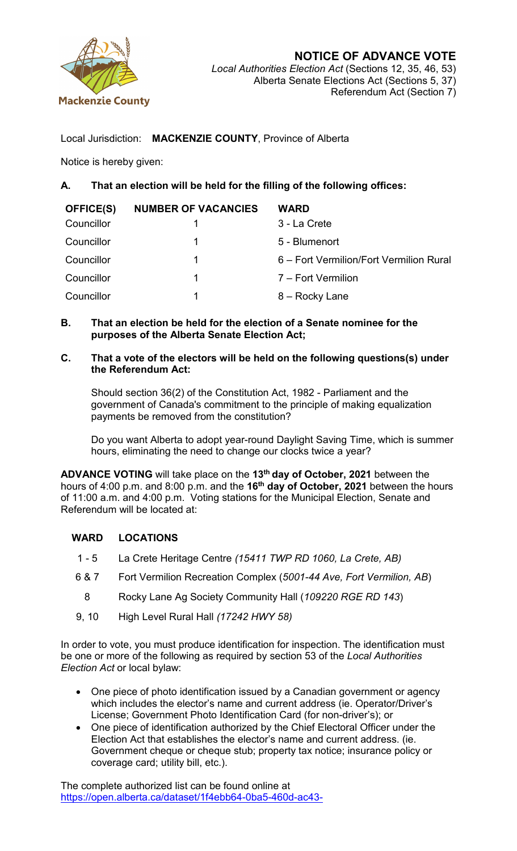

Local Jurisdiction: **MACKENZIE COUNTY**, Province of Alberta

Notice is hereby given:

## **A. That an election will be held for the filling of the following offices:**

| <b>OFFICE(S)</b> | <b>NUMBER OF VACANCIES</b> | <b>WARD</b>                             |
|------------------|----------------------------|-----------------------------------------|
| Councillor       |                            | 3 - La Crete                            |
| Councillor       | 1                          | 5 - Blumenort                           |
| Councillor       | 1                          | 6 – Fort Vermilion/Fort Vermilion Rural |
| Councillor       | 1                          | 7 – Fort Vermilion                      |
| Councillor       | 1                          | 8 – Rocky Lane                          |
|                  |                            |                                         |

**B. That an election be held for the election of a Senate nominee for the purposes of the Alberta Senate Election Act;**

## **C. That a vote of the electors will be held on the following questions(s) under the Referendum Act:**

Should section 36(2) of the Constitution Act, 1982 - Parliament and the government of Canada's commitment to the principle of making equalization payments be removed from the constitution?

Do you want Alberta to adopt year-round Daylight Saving Time, which is summer hours, eliminating the need to change our clocks twice a year?

**ADVANCE VOTING** will take place on the **13th day of October, 2021** between the hours of 4:00 p.m. and 8:00 p.m. and the **16th day of October, 2021** between the hours of 11:00 a.m. and 4:00 p.m. Voting stations for the Municipal Election, Senate and Referendum will be located at:

## **WARD LOCATIONS**

- 1 5 La Crete Heritage Centre *(15411 TWP RD 1060, La Crete, AB)*
- 6 & 7 Fort Vermilion Recreation Complex (*5001-44 Ave, Fort Vermilion, AB*)
- 8 Rocky Lane Ag Society Community Hall (*109220 RGE RD 143*)
- 9, 10 High Level Rural Hall *(17242 HWY 58)*

In order to vote, you must produce identification for inspection. The identification must be one or more of the following as required by section 53 of the *Local Authorities Election Act* or local bylaw:

- One piece of photo identification issued by a Canadian government or agency which includes the elector's name and current address (ie. Operator/Driver's License; Government Photo Identification Card (for non-driver's); or
- One piece of identification authorized by the Chief Electoral Officer under the Election Act that establishes the elector's name and current address. (ie. Government cheque or cheque stub; property tax notice; insurance policy or coverage card; utility bill, etc.).

The complete authorized list can be found online at [https://open.alberta.ca/dataset/1f4ebb64-0ba5-460d-ac43-](https://open.alberta.ca/dataset/1f4ebb64-0ba5-460d-ac43-9f8e59128d7d/resource/6d251d53-42c0-4b0d-afcb-6457fdf9ea0f/download/ma-local-elections-voter-id-2020-07.pdf)